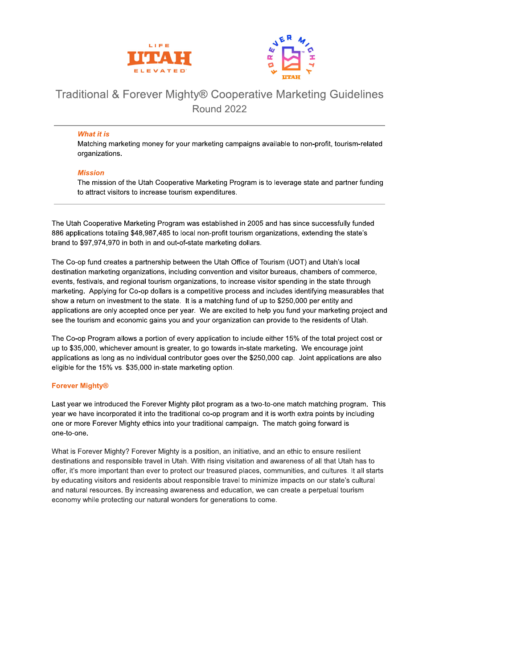



# Traditional & Forever Mighty® Cooperative Marketing Guidelines **Round 2022**

#### **What it is**

Matching marketing money for your marketing campaigns available to non-profit, tourism-related organizations.

#### **Mission**

The mission of the Utah Cooperative Marketing Program is to leverage state and partner funding to attract visitors to increase tourism expenditures.

The Utah Cooperative Marketing Program was established in 2005 and has since successfully funded 886 applications totaling \$48,987,485 to local non-profit tourism organizations, extending the state's brand to \$97,974,970 in both in and out-of-state marketing dollars.

The Co-op fund creates a partnership between the Utah Office of Tourism (UOT) and Utah's local destination marketing organizations, including convention and visitor bureaus, chambers of commerce, events, festivals, and regional tourism organizations, to increase visitor spending in the state through marketing. Applying for Co-op dollars is a competitive process and includes identifying measurables that show a return on investment to the state. It is a matching fund of up to \$250,000 per entity and applications are only accepted once per year. We are excited to help you fund your marketing project and see the tourism and economic gains you and your organization can provide to the residents of Utah.

The Co-op Program allows a portion of every application to include either 15% of the total project cost or up to \$35,000, whichever amount is greater, to go towards in-state marketing. We encourage joint applications as long as no individual contributor goes over the \$250,000 cap. Joint applications are also eligible for the 15% vs. \$35,000 in-state marketing option.

### **Forever Mighty®**

Last year we introduced the Forever Mighty pilot program as a two-to-one match matching program. This year we have incorporated it into the traditional co-op program and it is worth extra points by including one or more Forever Mighty ethics into your traditional campaign. The match going forward is one-to-one.

What is Forever Mighty? Forever Mighty is a position, an initiative, and an ethic to ensure resilient destinations and responsible travel in Utah. With rising visitation and awareness of all that Utah has to offer, it's more important than ever to protect our treasured places, communities, and cultures. It all starts by educating visitors and residents about responsible travel to minimize impacts on our state's cultural and natural resources. By increasing awareness and education, we can create a perpetual tourism economy while protecting our natural wonders for generations to come.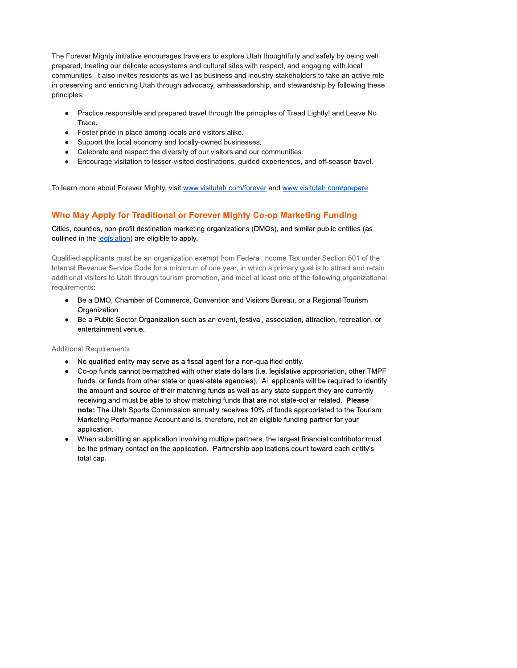The Forever Mighty initiative encourages travelers to explore Utah thoughtfully and safely by being well prepared, treating our delicate ecosystems and cultural sites with respect, and engaging with local communities. It also invites residents as well as business and industry stakeholders to take an active role in preserving and enriching Utah through advocacy, ambassadorship, and stewardship by following these principles:

- Practice responsible and prepared travel through the principles of Tread Lightly! and Leave No Trace.
- Foster pride in place among locals and visitors alike.
- Support the local economy and locally-owned businesses.
- Celebrate and respect the diversity of our visitors and our communities.  $\bullet$
- Encourage visitation to lesser-visited destinations, guided experiences, and off-season travel.  $\bullet$

To learn more about Forever Mighty, visit www.visitutah.com/forever and www.visitutah.com/prepare.

# Who May Apply for Traditional or Forever Mighty Co-op Marketing Funding

### Cities, counties, non-profit destination marketing organizations (DMOs), and similar public entities (as outlined in the legislation) are eligible to apply.

Qualified applicants must be an organization exempt from Federal Income Tax under Section 501 of the Internal Revenue Service Code for a minimum of one year, in which a primary goal is to attract and retain additional visitors to Utah through tourism promotion, and meet at least one of the following organizational requirements:

- Be a DMO, Chamber of Commerce, Convention and Visitors Bureau, or a Regional Tourism  $\bullet$ Organization.
- Be a Public Sector Organization such as an event, festival, association, attraction, recreation, or  $\bullet$ entertainment venue.

#### **Additional Requirements**

- No qualified entity may serve as a fiscal agent for a non-qualified entity.
- Co-op funds cannot be matched with other state dollars (i.e. legislative appropriation, other TMPF funds, or funds from other state or quasi-state agencies). All applicants will be required to identify the amount and source of their matching funds as well as any state support they are currently receiving and must be able to show matching funds that are not state-dollar related. Please note: The Utah Sports Commission annually receives 10% of funds appropriated to the Tourism Marketing Performance Account and is, therefore, not an eligible funding partner for your application.
- When submitting an application involving multiple partners, the largest financial contributor must be the primary contact on the application. Partnership applications count toward each entity's total cap.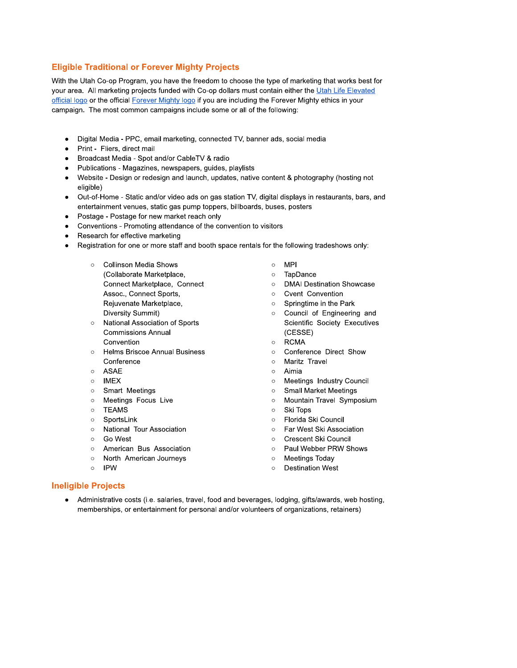# **Eligible Traditional or Forever Mighty Projects**

With the Utah Co-op Program, you have the freedom to choose the type of marketing that works best for your area. All marketing projects funded with Co-op dollars must contain either the Utah Life Elevated official logo or the official Forever Mighty logo if you are including the Forever Mighty ethics in your campaign. The most common campaigns include some or all of the following:

- Digital Media PPC, email marketing, connected TV, banner ads, social media  $\bullet$
- Print Fliers, direct mail
- Broadcast Media Spot and/or CableTV & radio  $\bullet$
- Publications Magazines, newspapers, guides, playlists
- Website Design or redesign and launch, updates, native content & photography (hosting not  $\bullet$ eligible)
- Out-of-Home Static and/or video ads on gas station TV, digital displays in restaurants, bars, and  $\bullet$ entertainment venues, static gas pump toppers, billboards, buses, posters
- $\bullet$ Postage - Postage for new market reach only
- Conventions Promoting attendance of the convention to visitors  $\bullet$
- Research for effective marketing  $\bullet$
- Registration for one or more staff and booth space rentals for the following tradeshows only:  $\bullet$ 
	- **Collinson Media Shows** (Collaborate Marketplace, Connect Marketplace, Connect Assoc., Connect Sports, Rejuvenate Marketplace, Diversity Summit)
	- National Association of Sports **Commissions Annual** Convention
	- **Helms Briscoe Annual Business** Conference
	- ASAE  $\circ$
	- **IMEX**  $\circ$
	- Smart Meetings  $\circ$
	- $\circ$ Meetings Focus Live
	- **TEAMS**  $\circ$
	- $\circ$ SportsLink
	- **O** National Tour Association
	- $\circ$ Go West
	- American Bus Association  $\circ$
	- $\circ$ North American Journeys
	- $\circ$ **IPW**
- $\circ$ **MPI**
- $\circ$ TapDance
- **DMAI Destination Showcase**  $\circ$
- Cvent Convention  $\circ$
- Springtime in the Park  $\circ$
- o Council of Engineering and Scientific Society Executives (CESSE)
- **RCMA**  $\circ$
- Conference Direct Show  $\circ$
- Maritz Travel  $\circ$
- Aimia  $\circ$
- Meetings Industry Council  $\circ$
- **Small Market Meetings**  $\circ$
- Mountain Travel Symposium  $\circ$
- Ski Tops  $\circ$
- Florida Ski Council
- Far West Ski Association
- $\Omega$ Crescent Ski Council
- Paul Webber PRW Shows  $\circ$
- $\circ$ **Meetings Today**
- $\circ$ **Destination West**

#### **Ineligible Projects**

Administrative costs (i.e. salaries, travel, food and beverages, lodging, gifts/awards, web hosting,  $\bullet$ memberships, or entertainment for personal and/or volunteers of organizations, retainers)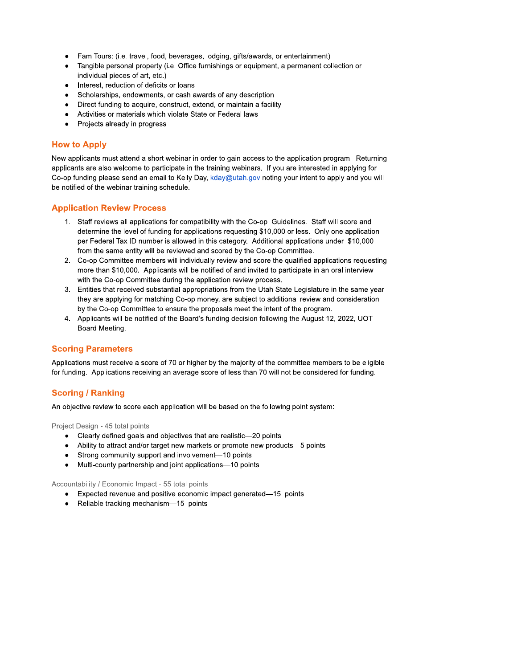- Fam Tours: (i.e. travel, food, beverages, lodging, gifts/awards, or entertainment)  $\bullet$
- Tangible personal property (i.e. Office furnishings or equipment, a permanent collection or  $\bullet$ individual pieces of art, etc.)
- Interest, reduction of deficits or loans  $\bullet$
- Scholarships, endowments, or cash awards of any description  $\bullet$
- Direct funding to acquire, construct, extend, or maintain a facility  $\bullet$
- Activities or materials which violate State or Federal laws
- Projects already in progress  $\bullet$

# **How to Apply**

New applicants must attend a short webinar in order to gain access to the application program. Returning applicants are also welcome to participate in the training webinars. If you are interested in applying for Co-op funding please send an email to Kelly Day, kday@utah.gov noting your intent to apply and you will be notified of the webinar training schedule.

## **Application Review Process**

- 1. Staff reviews all applications for compatibility with the Co-op Guidelines. Staff will score and determine the level of funding for applications requesting \$10,000 or less. Only one application per Federal Tax ID number is allowed in this category. Additional applications under \$10,000 from the same entity will be reviewed and scored by the Co-op Committee.
- 2. Co-op Committee members will individually review and score the qualified applications requesting more than \$10,000. Applicants will be notified of and invited to participate in an oral interview with the Co-op Committee during the application review process.
- 3. Entities that received substantial appropriations from the Utah State Legislature in the same year they are applying for matching Co-op money, are subject to additional review and consideration by the Co-op Committee to ensure the proposals meet the intent of the program.
- 4. Applicants will be notified of the Board's funding decision following the August 12, 2022, UOT Board Meeting.

### **Scoring Parameters**

Applications must receive a score of 70 or higher by the majority of the committee members to be eligible for funding. Applications receiving an average score of less than 70 will not be considered for funding.

# **Scoring / Ranking**

An objective review to score each application will be based on the following point system:

Project Design - 45 total points

- Clearly defined goals and objectives that are realistic-20 points
- Ability to attract and/or target new markets or promote new products-5 points
- Strong community support and involvement-10 points  $\bullet$
- $\bullet$ Multi-county partnership and joint applications-10 points

Accountability / Economic Impact - 55 total points

- Expected revenue and positive economic impact generated—15 points
- $\bullet$ Reliable tracking mechanism-15 points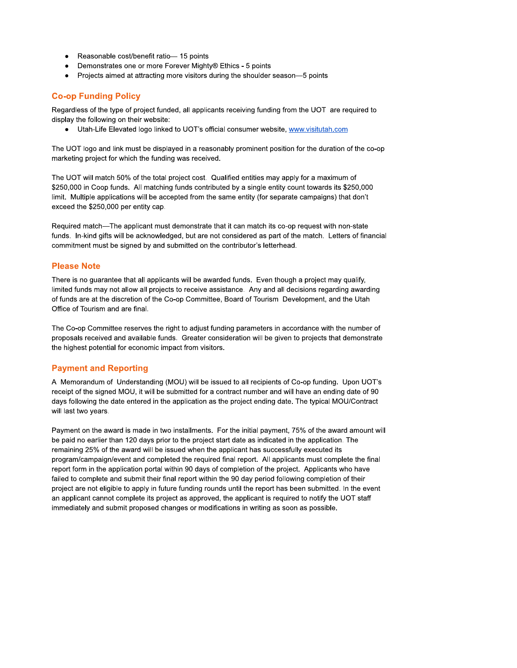- Reasonable cost/benefit ratio-15 points  $\bullet$
- Demonstrates one or more Forever Mighty® Ethics 5 points
- $\bullet$ Projects aimed at attracting more visitors during the shoulder season-5 points

# **Co-op Funding Policy**

Regardless of the type of project funded, all applicants receiving funding from the UOT are required to display the following on their website:

• Utah-Life Elevated logo linked to UOT's official consumer website, www.visitutah.com

The UOT logo and link must be displayed in a reasonably prominent position for the duration of the co-op marketing project for which the funding was received.

The UOT will match 50% of the total project cost. Qualified entities may apply for a maximum of \$250,000 in Coop funds. All matching funds contributed by a single entity count towards its \$250,000 limit. Multiple applications will be accepted from the same entity (for separate campaigns) that don't exceed the \$250,000 per entity cap.

Required match-The applicant must demonstrate that it can match its co-op request with non-state funds. In-kind gifts will be acknowledged, but are not considered as part of the match. Letters of financial commitment must be signed by and submitted on the contributor's letterhead.

## **Please Note**

There is no guarantee that all applicants will be awarded funds. Even though a project may qualify, limited funds may not allow all projects to receive assistance. Any and all decisions regarding awarding of funds are at the discretion of the Co-op Committee, Board of Tourism Development, and the Utah Office of Tourism and are final.

The Co-op Committee reserves the right to adjust funding parameters in accordance with the number of proposals received and available funds. Greater consideration will be given to projects that demonstrate the highest potential for economic impact from visitors.

# **Payment and Reporting**

A Memorandum of Understanding (MOU) will be issued to all recipients of Co-op funding. Upon UOT's receipt of the signed MOU, it will be submitted for a contract number and will have an ending date of 90 days following the date entered in the application as the project ending date. The typical MOU/Contract will last two years.

Payment on the award is made in two installments. For the initial payment, 75% of the award amount will be paid no earlier than 120 days prior to the project start date as indicated in the application. The remaining 25% of the award will be issued when the applicant has successfully executed its program/campaign/event and completed the required final report. All applicants must complete the final report form in the application portal within 90 days of completion of the project. Applicants who have failed to complete and submit their final report within the 90 day period following completion of their project are not eligible to apply in future funding rounds until the report has been submitted. In the event an applicant cannot complete its project as approved, the applicant is required to notify the UOT staff immediately and submit proposed changes or modifications in writing as soon as possible.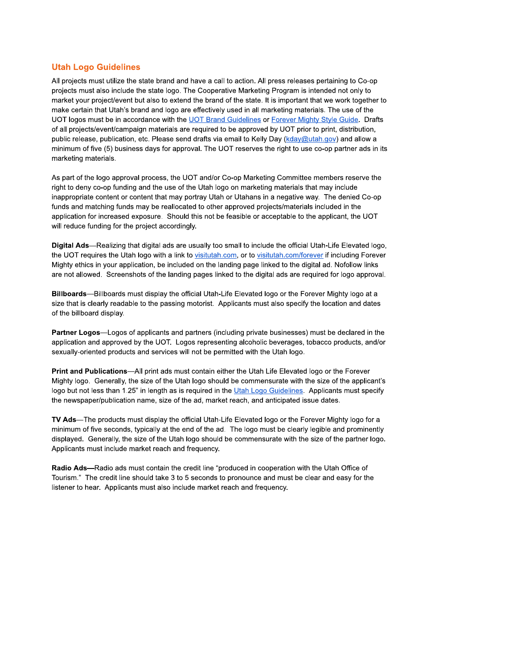### **Utah Logo Guidelines**

All projects must utilize the state brand and have a call to action. All press releases pertaining to Co-op projects must also include the state logo. The Cooperative Marketing Program is intended not only to market your project/event but also to extend the brand of the state. It is important that we work together to make certain that Utah's brand and logo are effectively used in all marketing materials. The use of the UOT logos must be in accordance with the UOT Brand Guidelines or Forever Mighty Style Guide. Drafts of all projects/event/campaign materials are required to be approved by UOT prior to print, distribution, public release, publication, etc. Please send drafts via email to Kelly Day (kday@utah.gov) and allow a minimum of five (5) business days for approval. The UOT reserves the right to use co-op partner ads in its marketing materials.

As part of the logo approval process, the UOT and/or Co-op Marketing Committee members reserve the right to deny co-op funding and the use of the Utah logo on marketing materials that may include inappropriate content or content that may portray Utah or Utahans in a negative way. The denied Co-op funds and matching funds may be reallocated to other approved projects/materials included in the application for increased exposure. Should this not be feasible or acceptable to the applicant, the UOT will reduce funding for the project accordingly.

Digital Ads-Realizing that digital ads are usually too small to include the official Utah-Life Elevated logo, the UOT requires the Utah logo with a link to visitutah.com, or to visitutah.com/forever if including Forever Mighty ethics in your application, be included on the landing page linked to the digital ad. Nofollow links are not allowed. Screenshots of the landing pages linked to the digital ads are required for logo approval.

Billboards—Billboards must display the official Utah-Life Elevated logo or the Forever Mighty logo at a size that is clearly readable to the passing motorist. Applicants must also specify the location and dates of the billboard display.

Partner Logos—Logos of applicants and partners (including private businesses) must be declared in the application and approved by the UOT. Logos representing alcoholic beverages, tobacco products, and/or sexually-oriented products and services will not be permitted with the Utah logo.

Print and Publications—All print ads must contain either the Utah Life Elevated logo or the Forever Mighty logo. Generally, the size of the Utah logo should be commensurate with the size of the applicant's logo but not less than 1.25" in length as is required in the Utah Logo Guidelines. Applicants must specify the newspaper/publication name, size of the ad, market reach, and anticipated issue dates.

TV Ads—The products must display the official Utah-Life Elevated logo or the Forever Mighty logo for a minimum of five seconds, typically at the end of the ad. The logo must be clearly legible and prominently displayed. Generally, the size of the Utah logo should be commensurate with the size of the partner logo. Applicants must include market reach and frequency.

Radio Ads—Radio ads must contain the credit line "produced in cooperation with the Utah Office of Tourism." The credit line should take 3 to 5 seconds to pronounce and must be clear and easy for the listener to hear. Applicants must also include market reach and frequency.